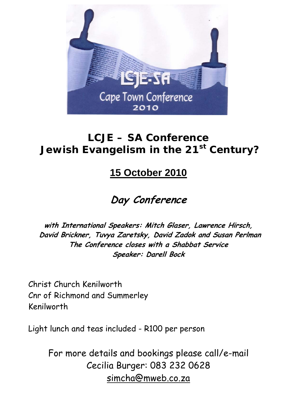

## **LCJE – SA Conference Jewish Evangelism in the 21st Century?**

## **15 October 2010**

## **Day Conference**

**with International Speakers: Mitch Glaser, Lawrence Hirsch, David Brickner, Tuvya Zaretsky, David Zadok and Susan Perlman The Conference closes with a Shabbat Service Speaker: Darell Bock** 

Christ Church Kenilworth Cnr of Richmond and Summerley Kenilworth

Light lunch and teas included - R100 per person

For more details and bookings please call/e-mail Cecilia Burger: 083 232 0628 simcha@mweb.co.za